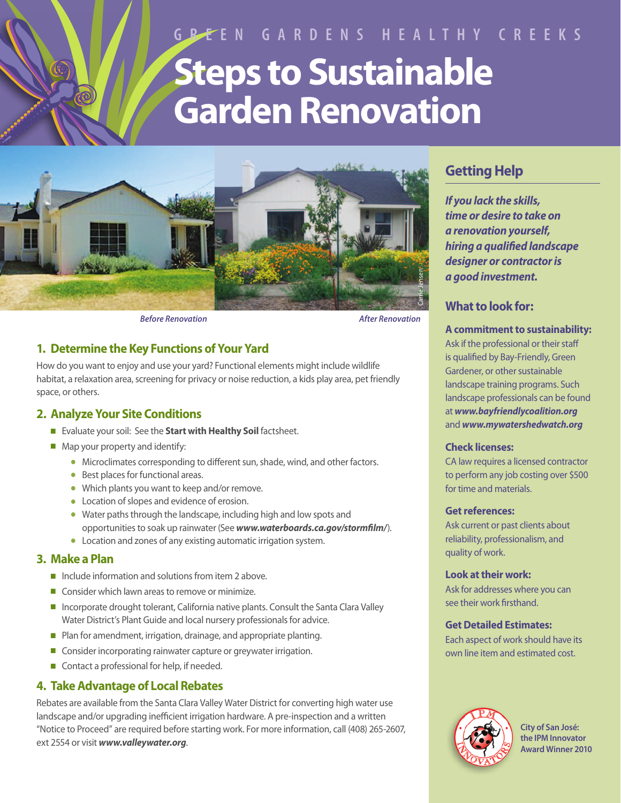# **GREEN GARDENS HEALTHY CREEKS Steps to Sustainable Garden Renovation**



## **1. Determine the Key Functions of Your Yard**

How do you want to enjoy and use your yard? Functional elements might include wildlife habitat, a relaxation area, screening for privacy or noise reduction, a kids play area, pet friendly space, or others.

## **2. Analyze Your Site Conditions**

- <sup>n</sup> Evaluate your soil: See the **Start with Healthy Soil** factsheet.
- $\blacksquare$  Map your property and identify:
	- **.** Microclimates corresponding to different sun, shade, wind, and other factors.
	- $\bullet$  Best places for functional areas.
	- Which plants you want to keep and/or remove.
	- **•** Location of slopes and evidence of erosion.
	- Water paths through the landscape, including high and low spots and opportunities to soak up rainwater (See *www.waterboards.ca.gov/stormfilm/*).
	- **•** Location and zones of any existing automatic irrigation system.

## **3. Make a Plan**

- $\blacksquare$  Include information and solutions from item 2 above.
- $\Box$  Consider which lawn areas to remove or minimize.
- n Incorporate drought tolerant, California native plants. Consult the Santa Clara Valley Water District's Plant Guide and local nursery professionals for advice.
- Plan for amendment, irrigation, drainage, and appropriate planting.
- Consider incorporating rainwater capture or greywater irrigation.
- $\blacksquare$  Contact a professional for help, if needed.

## **4. Take Advantage of Local Rebates**

Rebates are available from the Santa Clara Valley Water District for converting high water use landscape and/or upgrading inefficient irrigation hardware. A pre-inspection and a written "Notice to Proceed" are required before starting work. For more information, call (408) 265-2607, ext 2554 or visit *www.valleywater.org*.

## **Getting Help**

*If you lack the skills, time or desire to take on a renovation yourself, hiring a qualified landscape designer or contractor is a good investment.*

## **What to look for:**

#### **A commitment to sustainability:**

Ask if the professional or their staff is qualified by Bay-Friendly, Green Gardener, or other sustainable landscape training programs. Such landscape professionals can be found at *www.bayfriendlycoalition.org* and *www.mywatershedwatch.org*

#### **Check licenses:**

CA law requires a licensed contractor to perform any job costing over \$500 for time and materials.

#### **Get references:**

Ask current or past clients about reliability, professionalism, and quality of work.

#### **Look at their work:**

Ask for addresses where you can see their work firsthand.

#### **Get Detailed Estimates:**

Each aspect of work should have its own line item and estimated cost.